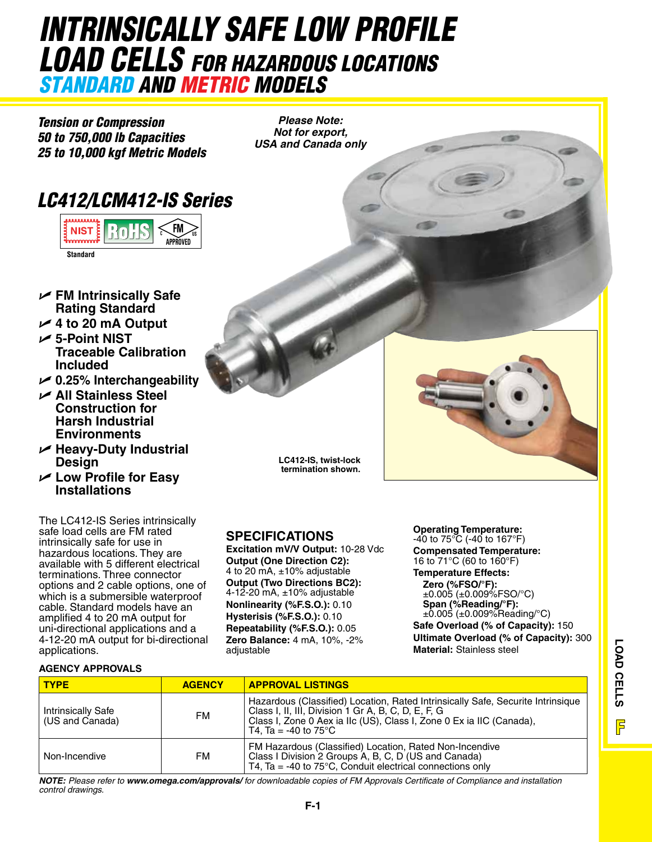### *INTRINSICALLY SAFE Low Profile Load Cells for Hazardous Locations standard and metric models*

*Tension or Compression 50 to 750,000 lb Capacities 25 to 10,000 kgf Metric Models*

*Please Note: Not for export, USA and Canada only*

### *LC412/LCM412-IS Series*



- U **FM Intrinsically Safe Rating Standard**
- $\angle$  4 to 20 mA Output
- U **5-Point NIST Traceable Calibration Included**
- U **0.25% Interchangeability**
- U **All Stainless Steel Construction for Harsh Industrial Environments**
- U **Heavy-Duty Industrial Design**
- U **Low Profile for Easy Installations**

The LC412-IS Series intrinsically safe load cells are FM rated intrinsically safe for use in hazardous locations. They are available with 5 different electrical terminations. Three connector options and 2 cable options, one of which is a submersible waterproof cable. Standard models have an amplified 4 to 20 mA output for uni-directional applications and a 4-12-20 mA output for bi-directional applications.

**LC412-IS, twist-lock termination shown.**

### **SPECIFICATIONS**

**Excitation mV/V Output:** 10-28 Vdc **Output (One Direction C2):** 4 to 20 mA, ±10% adjustable **Output (Two Directions BC2):** 4-12-20 mA, ±10% adjustable **Nonlinearity (%F.S.O.):** 0.10 **Hysterisis (%F.S.O.):** 0.10 **Repeatability (%F.S.O.):** 0.05 **Zero Balance:** 4 mA, 10%, -2% adjustable

**Operating Temperature:** -40 to 75°C (-40 to 167°F) **Compensated Temperature:** 16 to 71°C (60 to 160°F) **Temperature Effects:**

**Zero (%FSO/°F):** ±0.005 (±0.009%FSO/°C) **Span (%Reading/°F):** ±0.005 (±0.009%Reading/°C) **Safe Overload (% of Capacity):** 150 **Ultimate Overload (% of Capacity):** 300 **Material:** Stainless steel

### **AGENCY APPROVALs**

| <b>TYPE</b>                                  | <b>AGENCY</b> | <b>APPROVAL LISTINGS</b>                                                                                                                                                                                                                          |  |
|----------------------------------------------|---------------|---------------------------------------------------------------------------------------------------------------------------------------------------------------------------------------------------------------------------------------------------|--|
| <b>Intrinsically Safe</b><br>(US and Canada) | FM            | Hazardous (Classified) Location, Rated Intrinsically Safe, Securite Intrinsique<br>Class I, II, III, Division 1 Gr A, B, C, D, E, F, G<br>Class I, Zone 0 Aex ia IIc (US), Class I, Zone 0 Ex ia IIC (Canada),<br>T4. Ta = -40 to 75 $^{\circ}$ C |  |
| Non-Incendive                                | FM            | FM Hazardous (Classified) Location, Rated Non-Incendive<br>Class I Division 2 Groups A, B, C, D (US and Canada)<br>T4, Ta = -40 to $75^{\circ}$ C, Conduit electrical connections only                                                            |  |

*Note: Please refer to www.omega.com/approvals/ for downloadable copies of FM Approvals Certificate of Compliance and installation control drawings.*



e till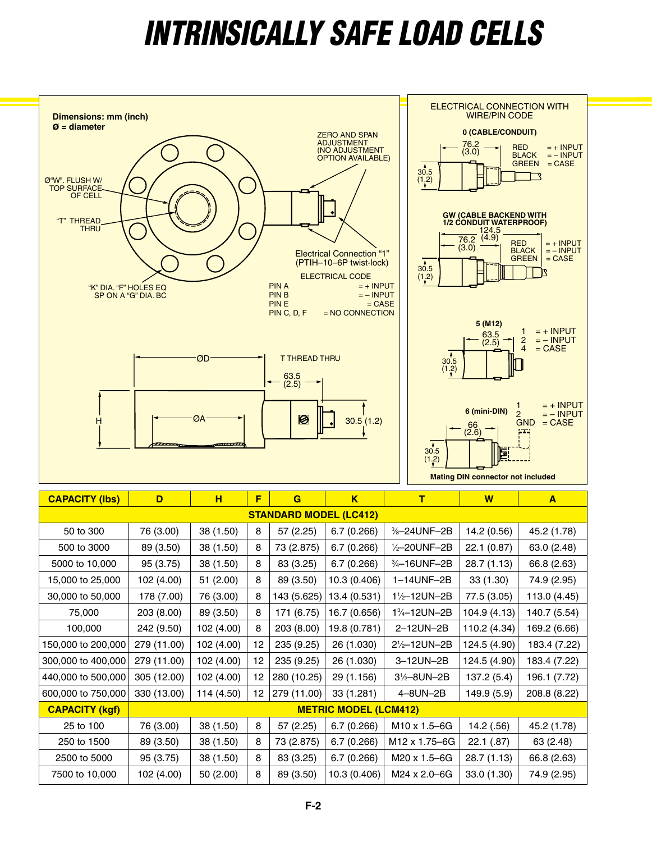# *iNTRINSICALLY SAFE Load Cells*

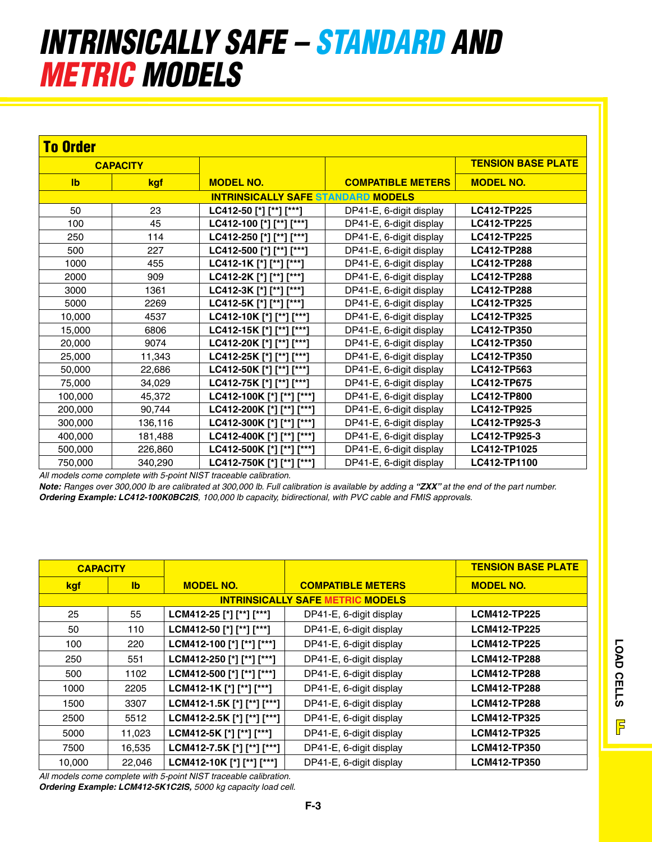## *INTRINSICALLY SAFE – standard and metric models*

| <b>To Order</b> |            |                                           |                          |                           |
|-----------------|------------|-------------------------------------------|--------------------------|---------------------------|
| <b>CAPACITY</b> |            |                                           |                          | <b>TENSION BASE PLATE</b> |
| $\mathbf{I}$    | <b>kgf</b> | <b>MODEL NO.</b>                          | <b>COMPATIBLE METERS</b> | <b>MODEL NO.</b>          |
|                 |            | <b>INTRINSICALLY SAFE STANDARD MODELS</b> |                          |                           |
| 50              | 23         | LC412-50 [*] [**] [***]                   | DP41-E, 6-digit display  | LC412-TP225               |
| 100             | 45         | LC412-100 [*] [**] [***]                  | DP41-E, 6-digit display  | LC412-TP225               |
| 250             | 114        | LC412-250 [*] [**] [***]                  | DP41-E, 6-digit display  | LC412-TP225               |
| 500             | 227        | LC412-500 [*] [**] [***]                  | DP41-E, 6-digit display  | <b>LC412-TP288</b>        |
| 1000            | 455        | LC412-1K [*] [**] [***]                   | DP41-E, 6-digit display  | LC412-TP288               |
| 2000            | 909        | LC412-2K [*] [**] [***]                   | DP41-E, 6-digit display  | LC412-TP288               |
| 3000            | 1361       | LC412-3K [*] [**] [***]                   | DP41-E, 6-digit display  | <b>LC412-TP288</b>        |
| 5000            | 2269       | LC412-5K [*] [**] [***]                   | DP41-E, 6-digit display  | LC412-TP325               |
| 10,000          | 4537       | LC412-10K [*] [**] [***]                  | DP41-E, 6-digit display  | LC412-TP325               |
| 15,000          | 6806       | LC412-15K [*] [**] [***]                  | DP41-E, 6-digit display  | LC412-TP350               |
| 20,000          | 9074       | LC412-20K [*] [**] [***]                  | DP41-E, 6-digit display  | LC412-TP350               |
| 25,000          | 11,343     | LC412-25K [*] [**] [***]                  | DP41-E, 6-digit display  | LC412-TP350               |
| 50,000          | 22,686     | LC412-50K [*] [**] [***]                  | DP41-E, 6-digit display  | LC412-TP563               |
| 75,000          | 34,029     | LC412-75K [*] [**] [***]                  | DP41-E, 6-digit display  | LC412-TP675               |
| 100,000         | 45,372     | LC412-100K [*] [**] [***]                 | DP41-E, 6-digit display  | <b>LC412-TP800</b>        |
| 200,000         | 90,744     | LC412-200K [*] [**] [***]                 | DP41-E, 6-digit display  | LC412-TP925               |
| 300,000         | 136,116    | LC412-300K [*] [**] [***]                 | DP41-E, 6-digit display  | LC412-TP925-3             |
| 400,000         | 181,488    | LC412-400K [*] [**] [***]                 | DP41-E, 6-digit display  | LC412-TP925-3             |
| 500,000         | 226,860    | LC412-500K [*] [**] [***]                 | DP41-E, 6-digit display  | LC412-TP1025              |
| 750,000         | 340,290    | LC412-750K [*] [**] [***]                 | DP41-E, 6-digit display  | LC412-TP1100              |

*All models come complete with 5-point NIST traceable calibration.*

*Note: Ranges over 300,000 lb are calibrated at 300,000 lb. Full calibration is available by adding a "ZXX" at the end of the part number. Ordering Example: LC412-100K0BC2IS, 100,000 lb capacity, bidirectional, with PVC cable and FMIS approvals.*

| <b>CAPACITY</b> |              |                            |                                         | <b>TENSION BASE PLATE</b> |
|-----------------|--------------|----------------------------|-----------------------------------------|---------------------------|
| <u>kgf</u>      | $\mathbf{I}$ | <b>MODEL NO.</b>           | <b>COMPATIBLE METERS</b>                | <b>MODEL NO.</b>          |
|                 |              |                            | <b>INTRINSICALLY SAFE METRIC MODELS</b> |                           |
| 25              | 55           | LCM412-25 [*] [**] [***]   | DP41-E, 6-digit display                 | <b>LCM412-TP225</b>       |
| 50              | 110          | LCM412-50 [*] [**] [***]   | DP41-E, 6-digit display                 | <b>LCM412-TP225</b>       |
| 100             | 220          | LCM412-100 [*] [**] [***]  | DP41-E, 6-digit display                 | <b>LCM412-TP225</b>       |
| 250             | 551          | LCM412-250 [*] [**] [***]  | DP41-E, 6-digit display                 | <b>LCM412-TP288</b>       |
| 500             | 1102         | LCM412-500 [*] [**] [***]  | DP41-E, 6-digit display                 | <b>LCM412-TP288</b>       |
| 1000            | 2205         | LCM412-1K [*] [**] [***]   | DP41-E, 6-digit display                 | <b>LCM412-TP288</b>       |
| 1500            | 3307         | LCM412-1.5K [*] [**] [***] | DP41-E, 6-digit display                 | <b>LCM412-TP288</b>       |
| 2500            | 5512         | LCM412-2.5K [*] [**] [***] | DP41-E, 6-digit display                 | <b>LCM412-TP325</b>       |
| 5000            | 11,023       | LCM412-5K [*] [**] [***]   | DP41-E, 6-digit display                 | <b>LCM412-TP325</b>       |
| 7500            | 16,535       | LCM412-7.5K [*] [**] [***] | DP41-E, 6-digit display                 | <b>LCM412-TP350</b>       |
| 10,000          | 22,046       | LCM412-10K [*] [**] [***]  | DP41-E, 6-digit display                 | <b>LCM412-TP350</b>       |

*All models come complete with 5-point NIST traceable calibration. Ordering Example: LCM412-5K1C2IS, 5000 kg capacity load cell.*